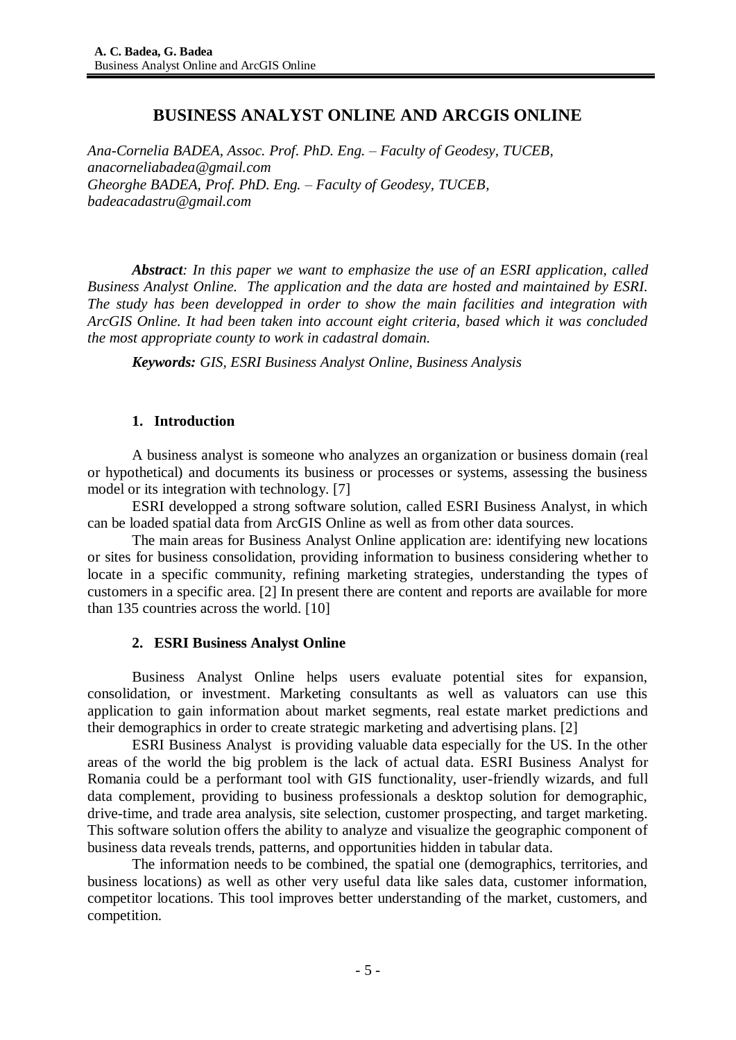# **BUSINESS ANALYST ONLINE AND ARCGIS ONLINE**

*Ana-Cornelia BADEA, Assoc. Prof. PhD. Eng. – Faculty of Geodesy, TUCEB, anacorneliabadea@gmail.com Gheorghe BADEA, Prof. PhD. Eng. – Faculty of Geodesy, TUCEB, badeacadastru@gmail.com*

*Abstract: In this paper we want to emphasize the use of an ESRI application, called Business Analyst Online. The application and the data are hosted and maintained by ESRI. The study has been developped in order to show the main facilities and integration with ArcGIS Online. It had been taken into account eight criteria, based which it was concluded the most appropriate county to work in cadastral domain.* 

*Keywords: GIS, ESRI Business Analyst Online, Business Analysis*

## **1. Introduction**

A business analyst is someone who analyzes an organization or business domain (real or hypothetical) and documents its business or processes or systems, assessing the business model or its integration with technology. [7]

ESRI developped a strong software solution, called ESRI Business Analyst, in which can be loaded spatial data from ArcGIS Online as well as from other data sources.

The main areas for Business Analyst Online application are: identifying new locations or sites for business consolidation, providing information to business considering whether to locate in a specific community, refining marketing strategies, understanding the types of customers in a specific area. [2] In present there are content and reports are available for more than 135 countries across the world. [10]

## **2. ESRI Business Analyst Online**

Business Analyst Online helps users evaluate potential sites for expansion, consolidation, or investment. Marketing consultants as well as valuators can use this application to gain information about market segments, real estate market predictions and their demographics in order to create strategic marketing and advertising plans. [2]

ESRI Business Analyst is providing valuable data especially for the US. In the other areas of the world the big problem is the lack of actual data. ESRI Business Analyst for Romania could be a performant tool with GIS functionality, user-friendly wizards, and full data complement, providing to business professionals a desktop solution for demographic, drive-time, and trade area analysis, site selection, customer prospecting, and target marketing. This software solution offers the ability to analyze and visualize the geographic component of business data reveals trends, patterns, and opportunities hidden in tabular data.

The information needs to be combined, the spatial one (demographics, territories, and business locations) as well as other very useful data like sales data, customer information, competitor locations. This tool improves better understanding of the market, customers, and competition.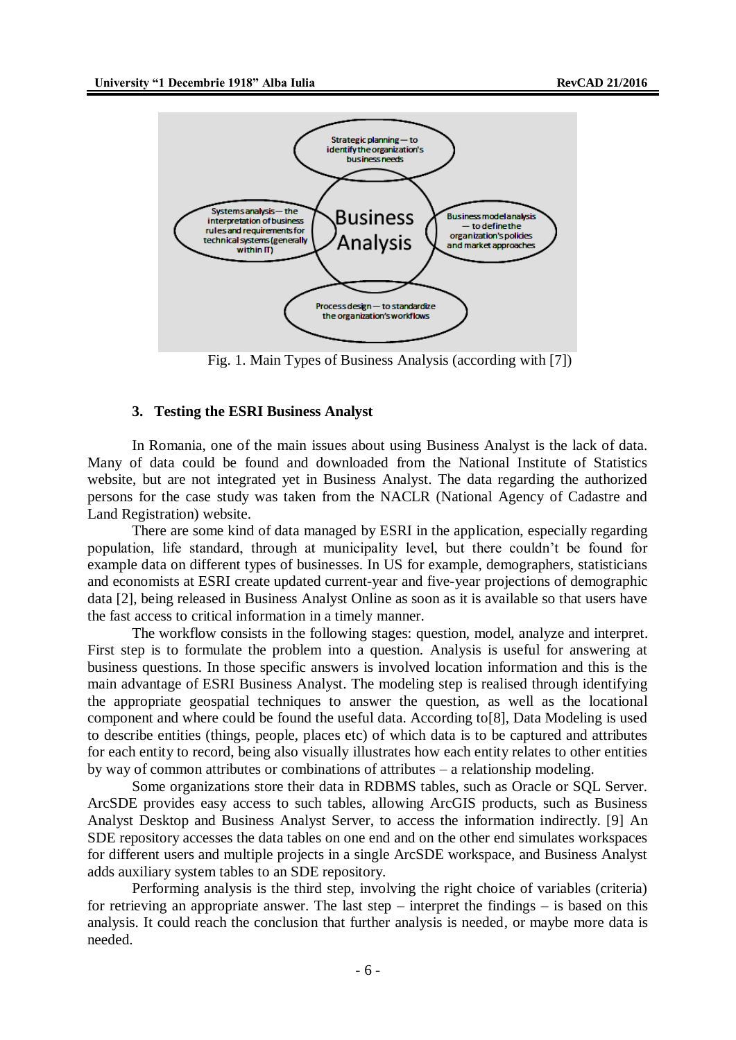

Fig. 1. Main Types of Business Analysis (according with [7])

#### **3. Testing the ESRI Business Analyst**

In Romania, one of the main issues about using Business Analyst is the lack of data. Many of data could be found and downloaded from the National Institute of Statistics website, but are not integrated yet in Business Analyst. The data regarding the authorized persons for the case study was taken from the NACLR (National Agency of Cadastre and Land Registration) website.

There are some kind of data managed by ESRI in the application, especially regarding population, life standard, through at municipality level, but there couldn't be found for example data on different types of businesses. In US for example, demographers, statisticians and economists at ESRI create updated current-year and five-year projections of demographic data [2], being released in Business Analyst Online as soon as it is available so that users have the fast access to critical information in a timely manner.

The workflow consists in the following stages: question, model, analyze and interpret. First step is to formulate the problem into a question. Analysis is useful for answering at business questions. In those specific answers is involved location information and this is the main advantage of ESRI Business Analyst. The modeling step is realised through identifying the appropriate geospatial techniques to answer the question, as well as the locational component and where could be found the useful data. According to[8], Data Modeling is used to describe entities (things, people, places etc) of which data is to be captured and attributes for each entity to record, being also visually illustrates how each entity relates to other entities by way of common attributes or combinations of attributes – a relationship modeling.

Some organizations store their data in RDBMS tables, such as Oracle or SQL Server. ArcSDE provides easy access to such tables, allowing ArcGIS products, such as Business Analyst Desktop and Business Analyst Server, to access the information indirectly. [9] An SDE repository accesses the data tables on one end and on the other end simulates workspaces for different users and multiple projects in a single ArcSDE workspace, and Business Analyst adds auxiliary system tables to an SDE repository.

Performing analysis is the third step, involving the right choice of variables (criteria) for retrieving an appropriate answer. The last step – interpret the findings – is based on this analysis. It could reach the conclusion that further analysis is needed, or maybe more data is needed.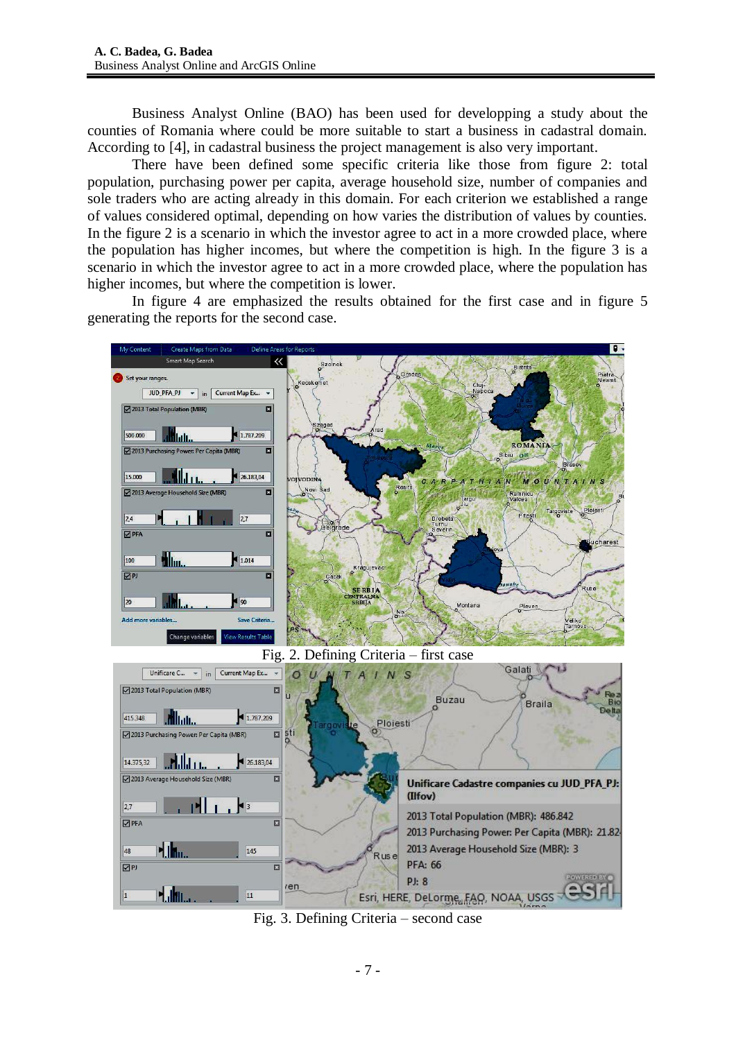Business Analyst Online (BAO) has been used for developping a study about the counties of Romania where could be more suitable to start a business in cadastral domain. According to [4], in cadastral business the project management is also very important.

There have been defined some specific criteria like those from figure 2: total population, purchasing power per capita, average household size, number of companies and sole traders who are acting already in this domain. For each criterion we established a range of values considered optimal, depending on how varies the distribution of values by counties. In the figure 2 is a scenario in which the investor agree to act in a more crowded place, where the population has higher incomes, but where the competition is high. In the figure 3 is a scenario in which the investor agree to act in a more crowded place, where the population has higher incomes, but where the competition is lower.

In figure 4 are emphasized the results obtained for the first case and in figure 5 generating the reports for the second case.



Fig. 3. Defining Criteria – second case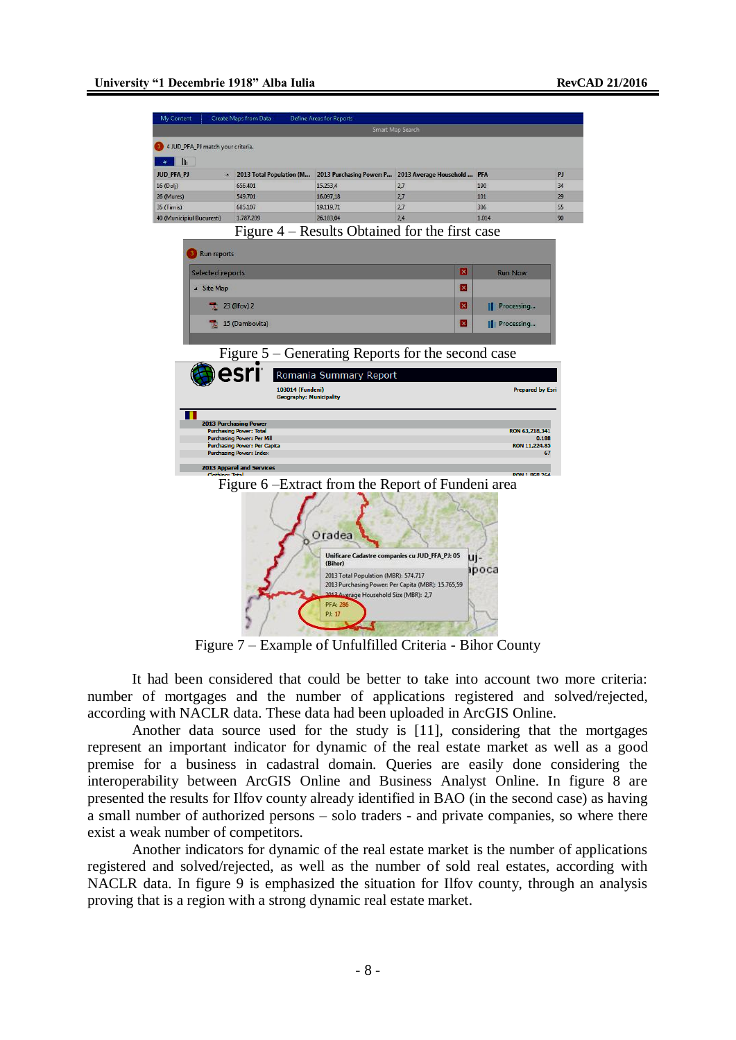|                           | Create Maps from Data                                               | <b>Define Areas for Reports</b> |                                                                                              |                         |    |
|---------------------------|---------------------------------------------------------------------|---------------------------------|----------------------------------------------------------------------------------------------|-------------------------|----|
|                           |                                                                     |                                 | Smart Map Search                                                                             |                         |    |
|                           | 4 JUD_PFA_PJ match your criteria.                                   |                                 |                                                                                              |                         |    |
| llı                       |                                                                     |                                 |                                                                                              |                         |    |
| JUD_PFA_PJ                | $\blacktriangle$                                                    |                                 | 2013 Total Population (M 2013 Purchasing Power: P 2013 Average Household  PFA                |                         |    |
| 16 (Dolj)                 | 656.401                                                             | 15.253,4                        | 2,7                                                                                          | 190                     | 34 |
| 26 (Mures)                | 549.701                                                             | 16.097,18                       | 2,7                                                                                          | 101                     |    |
| 35 (Timis)                | 685.107                                                             | 19.119,71                       | 2,7                                                                                          | 306                     |    |
| 40 (Municipiul Bucuresti) | 1.787.209                                                           | 26.183,04                       | 2,4                                                                                          | 1.014                   |    |
|                           |                                                                     |                                 | Figure 4 – Results Obtained for the first case                                               |                         |    |
|                           | Run reports                                                         |                                 |                                                                                              |                         |    |
|                           | Selected reports                                                    |                                 | ×                                                                                            | <b>Run Now</b>          |    |
| ▲ Site Map                |                                                                     |                                 | ×                                                                                            |                         |    |
|                           | 23 (Ilfov) 2                                                        |                                 | ×                                                                                            | Processing              |    |
|                           | 15 (Dambovita)                                                      |                                 | ×                                                                                            | Processing              |    |
|                           |                                                                     |                                 |                                                                                              |                         |    |
|                           |                                                                     |                                 |                                                                                              |                         |    |
|                           | <b>2013 Purchasing Power</b>                                        |                                 |                                                                                              |                         |    |
|                           | <b>Purchasing Power: Total</b><br><b>Purchasing Power: Per Mill</b> |                                 |                                                                                              | RON 63,218,341<br>0.188 |    |
|                           | Purchasing Power: Per Capita                                        |                                 |                                                                                              |                         |    |
|                           | <b>Purchasing Power: Index</b>                                      |                                 |                                                                                              | RON 11,224.85           | 67 |
|                           | <b>2013 Apparel and Services</b>                                    |                                 |                                                                                              |                         |    |
|                           |                                                                     |                                 |                                                                                              |                         |    |
|                           |                                                                     |                                 | Figure 6 - Extract from the Report of Fundeni area                                           |                         |    |
|                           |                                                                     | Oradea                          |                                                                                              |                         |    |
|                           |                                                                     | (Bihor)                         | Unificare Cadastre companies cu JUD_PFA_PJ: 05<br>2013 Total Population (MBR): 574.717       | u -<br>ipoca            |    |
|                           |                                                                     | <b>PFA: 286</b>                 | 2013 Purchasing Power: Per Capita (MBR): 15.765,59<br>2012 Average Household Size (MBR): 2,7 |                         |    |

Figure 7 – Example of Unfulfilled Criteria - Bihor County

It had been considered that could be better to take into account two more criteria: number of mortgages and the number of applications registered and solved/rejected, according with NACLR data. These data had been uploaded in ArcGIS Online.

Another data source used for the study is [11], considering that the mortgages represent an important indicator for dynamic of the real estate market as well as a good premise for a business in cadastral domain. Queries are easily done considering the interoperability between ArcGIS Online and Business Analyst Online. In figure 8 are presented the results for Ilfov county already identified in BAO (in the second case) as having a small number of authorized persons – solo traders - and private companies, so where there exist a weak number of competitors.

Another indicators for dynamic of the real estate market is the number of applications registered and solved/rejected, as well as the number of sold real estates, according with NACLR data. In figure 9 is emphasized the situation for Ilfov county, through an analysis proving that is a region with a strong dynamic real estate market.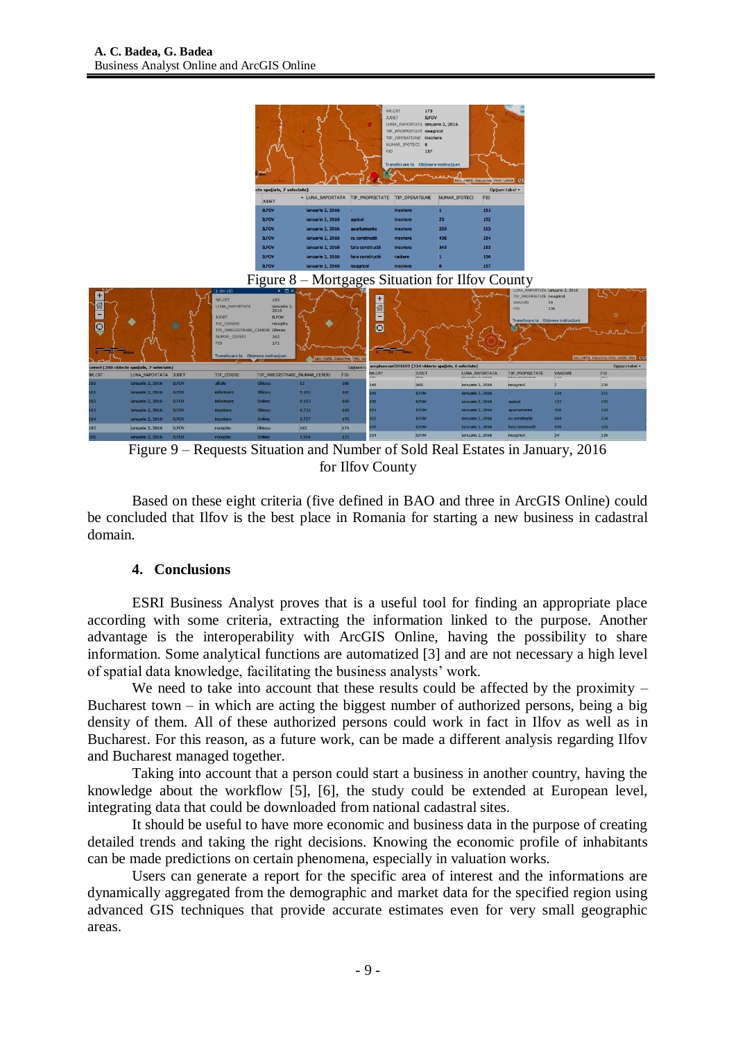|                          |                                            |                              |                                                                                                                                                                |                                                                      |                                                 | <b>FID</b>                                      | NR.CRT<br>173<br><b>ILFOV</b><br><b>JUDET</b><br>LUNA_RAPORTATA ianuarie 2, 2016<br>TIP PROPRIETATE neagricol<br>TIP_OPERATIUNE inscriere<br>NUMAR_IPOTECI 8<br>157<br>Transfocare la Obținere instrucțiuni |               | Esri, HERE, DeLorme, FAO, USGS C.                     |                                                                                           |                |                                                  |
|--------------------------|--------------------------------------------|------------------------------|----------------------------------------------------------------------------------------------------------------------------------------------------------------|----------------------------------------------------------------------|-------------------------------------------------|-------------------------------------------------|-------------------------------------------------------------------------------------------------------------------------------------------------------------------------------------------------------------|---------------|-------------------------------------------------------|-------------------------------------------------------------------------------------------|----------------|--------------------------------------------------|
|                          |                                            |                              |                                                                                                                                                                | cte spațiale, 7 selectate)                                           |                                                 |                                                 |                                                                                                                                                                                                             |               | Opțiuni tabel v                                       |                                                                                           |                |                                                  |
|                          |                                            |                              |                                                                                                                                                                | <b>JUDET</b>                                                         |                                                 | - LUNA_RAPORTATA TIP_PROPRIETATE TIP_OPERATIUNE |                                                                                                                                                                                                             | NUMAR_IPOTECI | <b>FID</b>                                            |                                                                                           |                |                                                  |
|                          |                                            |                              |                                                                                                                                                                | <b>ILFOV</b>                                                         | ianuarie 2, 2016                                |                                                 | inscriere                                                                                                                                                                                                   | 1             | 151                                                   |                                                                                           |                |                                                  |
|                          |                                            |                              |                                                                                                                                                                | <b>ILFOV</b>                                                         | ianuarie 2, 2016                                | agricol                                         | inscriere                                                                                                                                                                                                   | 23            | 152                                                   |                                                                                           |                |                                                  |
|                          |                                            |                              |                                                                                                                                                                | <b>ILFOV</b>                                                         | ianuarie 2, 2016                                | apartamente                                     | inscriere                                                                                                                                                                                                   | 259           | 153                                                   |                                                                                           |                |                                                  |
|                          |                                            |                              |                                                                                                                                                                | <b>ILFOV</b>                                                         | ianuarie 2, 2016                                | cu constructii                                  | inscriere                                                                                                                                                                                                   | 438           | 154                                                   |                                                                                           |                |                                                  |
|                          |                                            |                              |                                                                                                                                                                | <b>ILFOV</b>                                                         | ianuarie 2, 2016                                | fara constructs                                 | inscriere                                                                                                                                                                                                   | 345           | 155                                                   |                                                                                           |                |                                                  |
|                          |                                            |                              |                                                                                                                                                                | <b>ILFOV</b>                                                         | ianuarie 2, 2016                                | fara constructi                                 | radiere                                                                                                                                                                                                     |               | 156                                                   |                                                                                           |                |                                                  |
|                          |                                            |                              |                                                                                                                                                                | <b>ILFOV</b>                                                         | ianuarie 2, 2016                                | neagricol                                       | <i>inscriere</i>                                                                                                                                                                                            |               | 157                                                   |                                                                                           |                |                                                  |
|                          |                                            |                              | $(1 \text{ din } 18)$                                                                                                                                          | $\triangleright$ $\Box$ $\times$                                     | Figure 8 - Mortgages Situation for Ilfov County |                                                 |                                                                                                                                                                                                             |               |                                                       | LUNA_RAPORTATA ianuarie 2, 2016                                                           |                |                                                  |
| 奇<br>-<br>$\overline{O}$ |                                            |                              | NR.CRT<br>LUNA RAPORTATA<br><b>JUDET</b><br><b>TIP CERERE</b><br>TIP_INREGISTRARE_CERERE_Ghiseu<br>NUMAR CERERI<br>FID<br>Transfocare la Obtinere instructiuni | 185<br>ianuarie 2,<br>2016<br><b>ILFOV</b><br>receptie<br>162<br>171 | Esn, HERE, DeLorme, FAO, US                     | $+$<br>61<br>g,<br>$\overline{\mathbf{C}}$      |                                                                                                                                                                                                             |               |                                                       | TIP_PROPRIETATE_neagricol<br>VANZARI<br>34<br>FID<br>Transfocare la Obtinere instructiuni | 136            | $\circ$<br>Est, HERE, DeLorme, FAD, USGS, NOA CS |
|                          | cereri (288 obiecte spatiale, 7 selectate) |                              |                                                                                                                                                                |                                                                      |                                                 | Optiuni ta                                      | ancpivanzari201602 (224 obiecte spațiale, 6 selectate)                                                                                                                                                      |               |                                                       | <b>TIP PROPRIETATE</b>                                                                    | VANZARI        | Optiuni tabel v<br>FID.                          |
| <b>NR.CRT</b>            | LUNA RAPORTATA JUDET                       |                              | TIP_CERERE                                                                                                                                                     | TIP_INREGISTRARE_INUMAR_CERERI                                       | FID                                             | NR.CRT                                          | <b>JUDET</b><br><b>APTIVE</b>                                                                                                                                                                               |               | <b>LUNA RAPORTATA</b><br><b>IF PURSER'S ALL AVENU</b> | <b>FMILM NO</b>                                                                           | <b>Service</b> | in.                                              |
| 80<br><b>BI</b>          | ianuarie 2, 2016<br>ianuarie 2, 2016       | <b>ILFOV</b><br><b>ILFOV</b> | altele<br>informare                                                                                                                                            | Ghiseu<br>Ghiseu                                                     | 52<br>9.181                                     | 166<br>148<br>167                               | <b>IASI</b>                                                                                                                                                                                                 |               | ianuarie 2, 2016                                      | neagncol                                                                                  |                | 130                                              |
| 182                      | ianuarie 2, 2016                           | <b>ILFOV</b>                 | <i>informare</i>                                                                                                                                               | Online                                                               | 9.103                                           | (49<br>168<br>150                               | <b>ILFOV</b><br><b>ILFOV</b>                                                                                                                                                                                |               | ianuarie 2, 2016<br>ianuarie 2, 2016                  | agnool                                                                                    | 234<br>122     | 131<br>132                                       |
| 183                      | ianuarie 2, 2016                           | <b>ILFOV</b>                 | inscriere.                                                                                                                                                     | Ghiseu                                                               | 4.732                                           | 151<br>169                                      | <b>ILFOV</b>                                                                                                                                                                                                |               | ianuarie 2, 2016                                      | apartamente                                                                               | 506            | 133                                              |
| <b>IRA</b>               | ianuarie 2, 2016                           | <b>ILFOV</b>                 | <b>inscriere</b>                                                                                                                                               | <b>Online</b>                                                        | 3.757                                           | 152<br>170                                      | <b>ILFOV</b>                                                                                                                                                                                                |               | ianuarie 2, 2016                                      | cu constructii                                                                            | 684            | 134                                              |
| 185                      | ianuarie 2, 2016                           | <b>ILFOV</b>                 | receptie                                                                                                                                                       | Ghiseu                                                               | 162                                             | 153<br>171                                      | <b>ILFOV</b>                                                                                                                                                                                                |               | ianuarie 2, 2016                                      | fara constructi                                                                           | 930            | 135                                              |
| 186                      | ianuarie 2, 2016                           | <b>ILFOV</b>                 | receptie                                                                                                                                                       | Online                                                               | 1.504                                           | 154<br>172                                      | <b>ILFOV</b>                                                                                                                                                                                                |               | ianuarie 2, 2016                                      | neagricol                                                                                 | 34             | 136                                              |

Figure 9 – Requests Situation and Number of Sold Real Estates in January, 2016 for Ilfov County

Based on these eight criteria (five defined in BAO and three in ArcGIS Online) could be concluded that Ilfov is the best place in Romania for starting a new business in cadastral domain.

## **4. Conclusions**

ESRI Business Analyst proves that is a useful tool for finding an appropriate place according with some criteria, extracting the information linked to the purpose. Another advantage is the interoperability with ArcGIS Online, having the possibility to share information. Some analytical functions are automatized [3] and are not necessary a high level of spatial data knowledge, facilitating the business analysts' work.

We need to take into account that these results could be affected by the proximity  $-$ Bucharest town – in which are acting the biggest number of authorized persons, being a big density of them. All of these authorized persons could work in fact in Ilfov as well as in Bucharest. For this reason, as a future work, can be made a different analysis regarding Ilfov and Bucharest managed together.

Taking into account that a person could start a business in another country, having the knowledge about the workflow [5], [6], the study could be extended at European level, integrating data that could be downloaded from national cadastral sites.

It should be useful to have more economic and business data in the purpose of creating detailed trends and taking the right decisions. Knowing the economic profile of inhabitants can be made predictions on certain phenomena, especially in valuation works.

Users can generate a report for the specific area of interest and the informations are dynamically aggregated from the demographic and market data for the specified region using advanced GIS techniques that provide accurate estimates even for very small geographic areas.